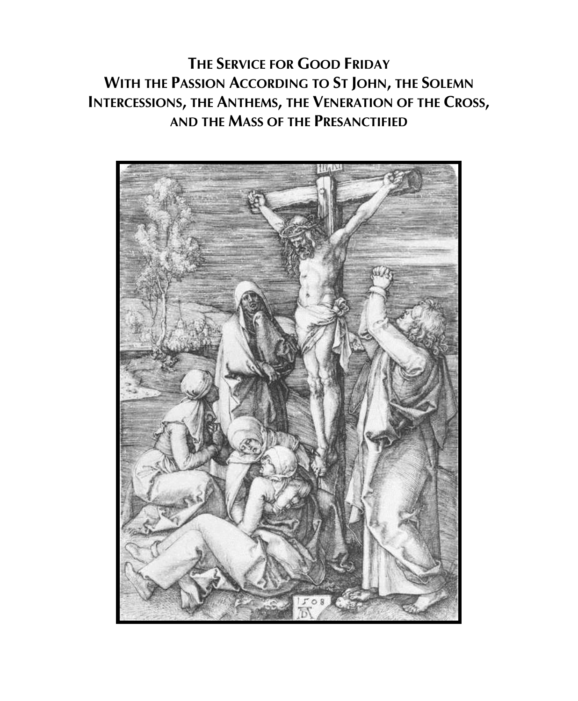**THE SERVICE FOR GOOD FRIDAY WITH THE PASSION ACCORDING TO ST JOHN, THE SOLEMN INTERCESSIONS, THE ANTHEMS, THE VENERATION OF THE CROSS, AND THE MASS OF THE PRESANCTIFIED**

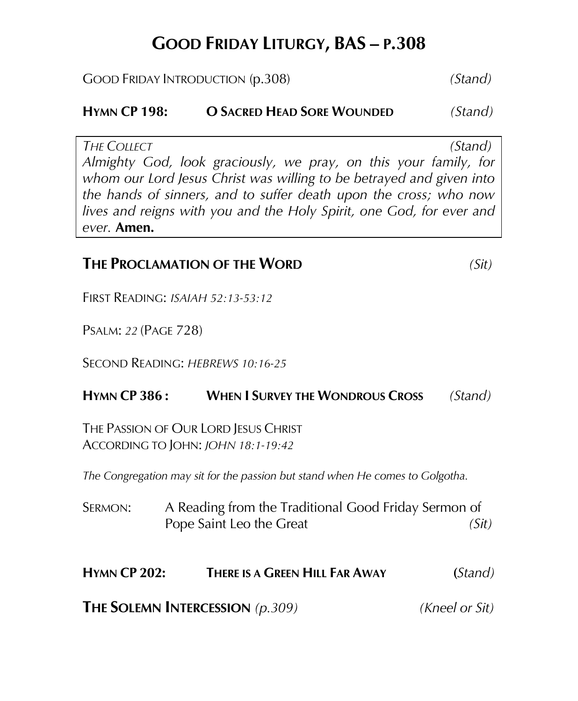# **GOOD FRIDAY LITURGY, BAS – P.308**

GOOD FRIDAY INTRODUCTION (p.308) *(Stand)*

**HYMN CP 198: O SACRED HEAD SORE WOUNDED** *(Stand)*

*THE COLLECT (Stand) Almighty God, look graciously, we pray, on this your family, for whom our Lord Jesus Christ was willing to be betrayed and given into the hands of sinners, and to suffer death upon the cross; who now lives and reigns with you and the Holy Spirit, one God, for ever and ever.* **Amen.**

#### **THE PROCLAMATION OF THE WORD** *(Sit)*

FIRST READING: *ISAIAH 52:13-53:12*

PSALM: *22* (PAGE 728)

SECOND READING: *HEBREWS 10:16-25*

#### **HYMN CP 386 : WHEN I SURVEY THE WONDROUS CROSS** *(Stand)*

THE PASSION OF OUR LORD JESUS CHRIST ACCORDING TO JOHN: *JOHN 18:1-19:42*

*The Congregation may sit for the passion but stand when He comes to Golgotha.*

SERMON: A Reading from the Traditional Good Friday Sermon of Pope Saint Leo the Great *(Sit)* (Sit)

#### **HYMN CP 202: THERE IS A GREEN HILL FAR AWAY (***Stand)*

**THE SOLEMN INTERCESSION** *(p.309) (Kneel or Sit)*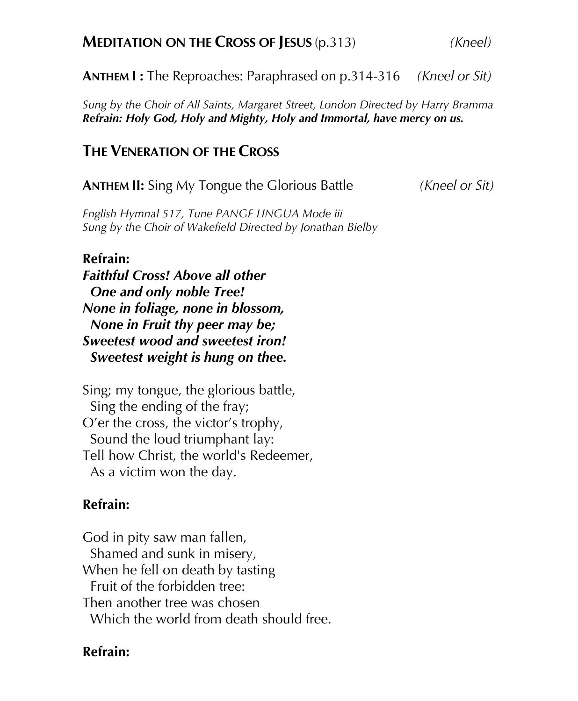**ANTHEM I :** The Reproaches: Paraphrased on p.314-316 *(Kneel or Sit)*

*Sung by the Choir of All Saints, Margaret Street, London Directed by Harry Bramma Refrain: Holy God, Holy and Mighty, Holy and Immortal, have mercy on us.* 

#### **THE VENERATION OF THE CROSS**

**ANTHEM II:** Sing My Tongue the Glorious Battle*(Kneel or Sit)*

*English Hymnal 517, Tune PANGE LINGUA Mode iii Sung by the Choir of Wakefield Directed by Jonathan Bielby*

#### **Refrain:**

*Faithful Cross! Above all other One and only noble Tree! None in foliage, none in blossom, None in Fruit thy peer may be; Sweetest wood and sweetest iron! Sweetest weight is hung on thee.* 

Sing; my tongue, the glorious battle, Sing the ending of the fray; O'er the cross, the victor's trophy, Sound the loud triumphant lay: Tell how Christ, the world's Redeemer, As a victim won the day.

#### **Refrain:**

God in pity saw man fallen, Shamed and sunk in misery, When he fell on death by tasting Fruit of the forbidden tree: Then another tree was chosen Which the world from death should free.

#### **Refrain:**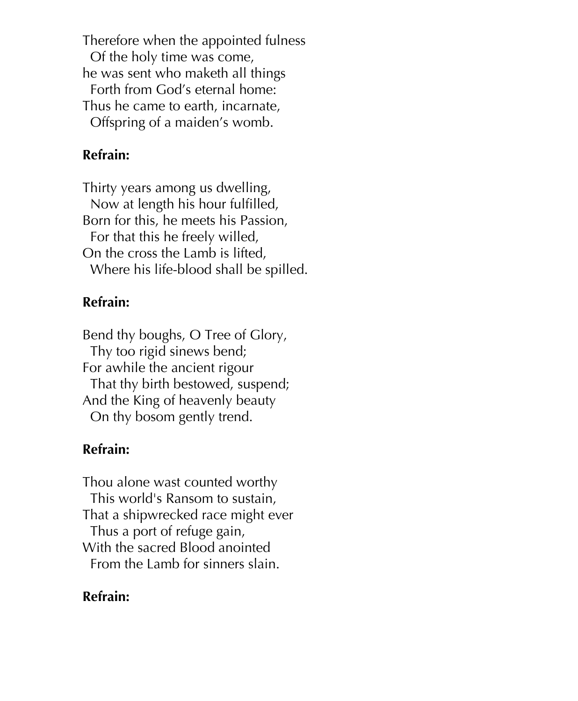Therefore when the appointed fulness Of the holy time was come, he was sent who maketh all things Forth from God's eternal home: Thus he came to earth, incarnate, Offspring of a maiden's womb.

#### **Refrain:**

Thirty years among us dwelling, Now at length his hour fulfilled, Born for this, he meets his Passion, For that this he freely willed, On the cross the Lamb is lifted, Where his life-blood shall be spilled.

#### **Refrain:**

Bend thy boughs, O Tree of Glory, Thy too rigid sinews bend; For awhile the ancient rigour That thy birth bestowed, suspend; And the King of heavenly beauty On thy bosom gently trend.

## **Refrain:**

Thou alone wast counted worthy This world's Ransom to sustain, That a shipwrecked race might ever Thus a port of refuge gain, With the sacred Blood anointed From the Lamb for sinners slain.

## **Refrain:**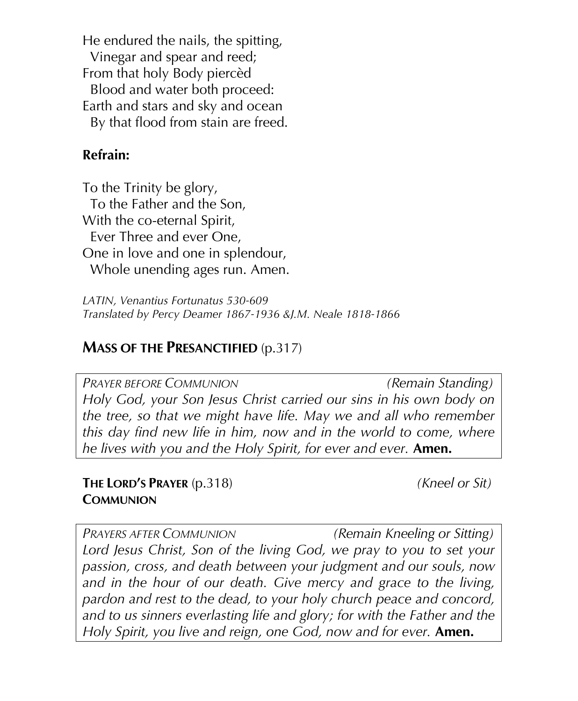He endured the nails, the spitting, Vinegar and spear and reed; From that holy Body piercèd Blood and water both proceed: Earth and stars and sky and ocean By that flood from stain are freed.

#### **Refrain:**

To the Trinity be glory, To the Father and the Son, With the co-eternal Spirit, Ever Three and ever One, One in love and one in splendour, Whole unending ages run. Amen.

*LATIN, Venantius Fortunatus 530-609 Translated by Percy Deamer 1867-1936 &J.M. Neale 1818-1866*

#### **MASS OF THE PRESANCTIFIED** (p.317)

*PRAYER BEFORE COMMUNION (Remain Standing) Holy God, your Son Jesus Christ carried our sins in his own body on the tree, so that we might have life. May we and all who remember this day find new life in him, now and in the world to come, where he lives with you and the Holy Spirit, for ever and ever.* **Amen.**

**THE LORD'S PRAYER** (p.318) *(Kneel or Sit)* **COMMUNION**

*PRAYERS AFTER COMMUNION (Remain Kneeling or Sitting) Lord Jesus Christ, Son of the living God, we pray to you to set your passion, cross, and death between your judgment and our souls, now and in the hour of our death. Give mercy and grace to the living, pardon and rest to the dead, to your holy church peace and concord, and to us sinners everlasting life and glory; for with the Father and the Holy Spirit, you live and reign, one God, now and for ever.* **Amen.**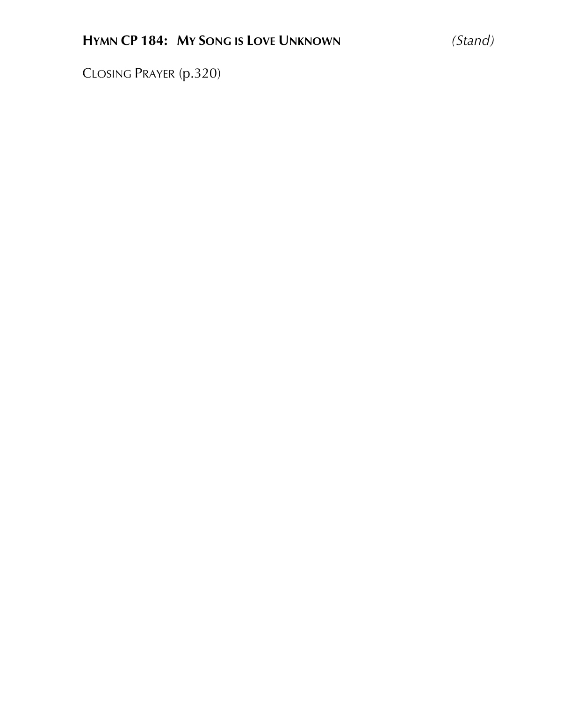CLOSING PRAYER (p.320)